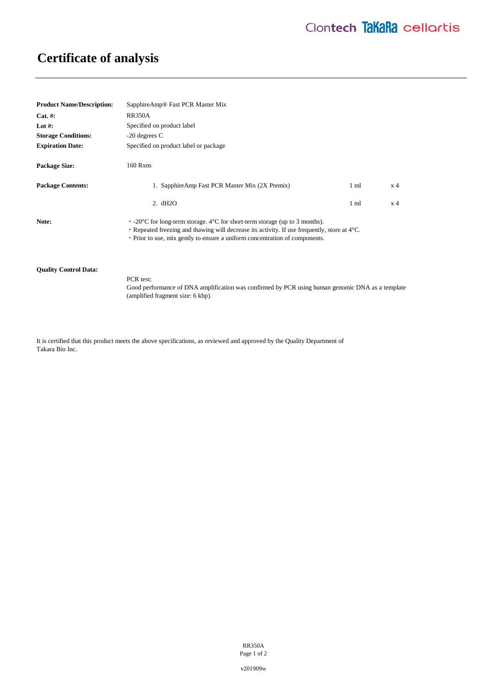## **Certificate of analysis**

| <b>Product Name/Description:</b> | SapphireAmp <sup>®</sup> Fast PCR Master Mix                                                                                                                                                                                                                                 |                |                |
|----------------------------------|------------------------------------------------------------------------------------------------------------------------------------------------------------------------------------------------------------------------------------------------------------------------------|----------------|----------------|
| $Cat. \#:$                       | <b>RR350A</b>                                                                                                                                                                                                                                                                |                |                |
| Lot #:                           | Specified on product label                                                                                                                                                                                                                                                   |                |                |
| <b>Storage Conditions:</b>       | $-20$ degrees C                                                                                                                                                                                                                                                              |                |                |
| <b>Expiration Date:</b>          | Specified on product label or package                                                                                                                                                                                                                                        |                |                |
| <b>Package Size:</b>             | 160 Rxns                                                                                                                                                                                                                                                                     |                |                |
| <b>Package Contents:</b>         | 1. SapphireAmp Fast PCR Master Mix (2X Premix)                                                                                                                                                                                                                               | $1 \text{ ml}$ | x <sub>4</sub> |
|                                  | 2. dH2O                                                                                                                                                                                                                                                                      | $1 \text{ ml}$ | x 4            |
| Note:                            | $\cdot$ -20 °C for long-term storage. 4 °C for short-term storage (up to 3 months).<br>• Repeated freezing and thawing will decrease its activity. If use frequently, store at $4^{\circ}$ C.<br>• Prior to use, mix gently to ensure a uniform concentration of components. |                |                |
| <b>Quality Control Data:</b>     |                                                                                                                                                                                                                                                                              |                |                |

Good performance of DNA amplification was confirmed by PCR using human genomic DNA as a template (amplified fragment size: 6 kbp).

It is certified that this product meets the above specifications, as reviewed and approved by the Quality Department of Takara Bio Inc.

PCR test:

RR350A Page 1 of 2

v201909w